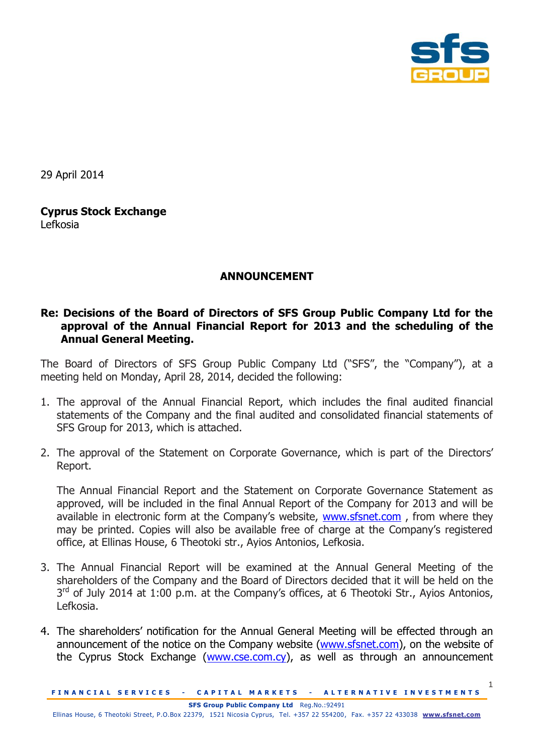

1

29 April 2014

## **Cyprus Stock Exchange** Lefkosia

## **ANNOUNCEMENT**

## **Re: Decisions of the Board of Directors of SFS Group Public Company Ltd for the approval of the Annual Financial Report for 2013 and the scheduling of the Annual General Meeting.**

The Board of Directors of SFS Group Public Company Ltd ("SFS", the "Company"), at a meeting held on Monday, April 28, 2014, decided the following:

- 1. The approval of the Annual Financial Report, which includes the final audited financial statements of the Company and the final audited and consolidated financial statements of SFS Group for 2013, which is attached.
- 2. The approval of the Statement on Corporate Governance, which is part of the Directors' Report.

The Annual Financial Report and the Statement on Corporate Governance Statement as approved, will be included in the final Annual Report of the Company for 2013 and will be available in electronic form at the Company's website, [www.sfsnet.com](http://www.sfsnet.com/), from where they may be printed. Copies will also be available free of charge at the Company's registered office, at Ellinas House, 6 Theotoki str., Ayios Antonios, Lefkosia.

- 3. The Annual Financial Report will be examined at the Annual General Meeting of the shareholders of the Company and the Board of Directors decided that it will be held on the  $3<sup>rd</sup>$  of July 2014 at 1:00 p.m. at the Company's offices, at 6 Theotoki Str., Ayios Antonios, Lefkosia.
- 4. The shareholders' notification for the Annual General Meeting will be effected through an announcement of the notice on the Company website [\(www.sfsnet.com\)](http://www.sfsnet.com/), on the website of the Cyprus Stock Exchange [\(www.cse.com.cy\)](http://www.cse.com.cy/), as well as through an announcement

**FINANCIAL SERVICES - CAPITAL MARKETS - ALTERNATIVE INVESTMENTS**